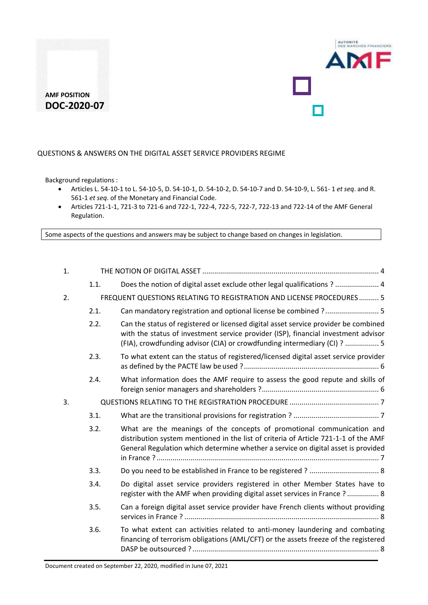

#### QUESTIONS & ANSWERS ON THE DIGITAL ASSET SERVICE PROVIDERS REGIME

Background regulations :

- Articles L. 54-10-1 to L. 54-10-5, D. 54-10-1, D. 54-10-2, D. 54-10-7 and D. 54-10-9, L. 561- 1 *et seq*. and R. 561-1 *et seq*. of the Monetary and Financial Code.
- Articles 721-1-1, 721-3 to 721-6 and 722-1, 722-4, 722-5, 722-7, 722-13 and 722-14 of the AMF General Regulation.

Some aspects of the questions and answers may be subject to change based on changes in legislation.

| 1. |      |                                                                                                                                                                                                                                                       |  |  |
|----|------|-------------------------------------------------------------------------------------------------------------------------------------------------------------------------------------------------------------------------------------------------------|--|--|
|    | 1.1. | Does the notion of digital asset exclude other legal qualifications ?  4                                                                                                                                                                              |  |  |
| 2. |      | FREQUENT QUESTIONS RELATING TO REGISTRATION AND LICENSE PROCEDURES 5                                                                                                                                                                                  |  |  |
|    | 2.1. | Can mandatory registration and optional license be combined ? 5                                                                                                                                                                                       |  |  |
|    | 2.2. | Can the status of registered or licensed digital asset service provider be combined<br>with the status of investment service provider (ISP), financial investment advisor<br>(FIA), crowdfunding advisor (CIA) or crowdfunding intermediary (CI) ?  5 |  |  |
|    | 2.3. | To what extent can the status of registered/licensed digital asset service provider                                                                                                                                                                   |  |  |
|    | 2.4. | What information does the AMF require to assess the good repute and skills of                                                                                                                                                                         |  |  |
| 3. |      |                                                                                                                                                                                                                                                       |  |  |
|    | 3.1. |                                                                                                                                                                                                                                                       |  |  |
|    | 3.2. | What are the meanings of the concepts of promotional communication and<br>distribution system mentioned in the list of criteria of Article 721-1-1 of the AMF<br>General Regulation which determine whether a service on digital asset is provided    |  |  |
|    | 3.3. |                                                                                                                                                                                                                                                       |  |  |
|    | 3.4. | Do digital asset service providers registered in other Member States have to<br>register with the AMF when providing digital asset services in France ?  8                                                                                            |  |  |
|    | 3.5. | Can a foreign digital asset service provider have French clients without providing                                                                                                                                                                    |  |  |
|    | 3.6. | To what extent can activities related to anti-money laundering and combating<br>financing of terrorism obligations (AML/CFT) or the assets freeze of the registered                                                                                   |  |  |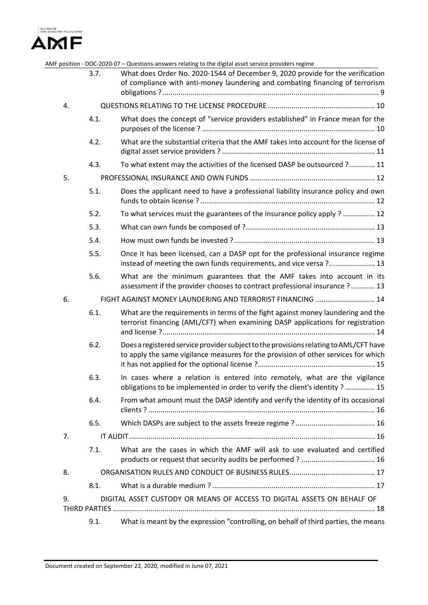

|    | 3.7.                                                       | AMF position - DOC-2020-07 - Questions-answers relating to the digital asset service providers regime<br>What does Order No. 2020-1544 of December 9, 2020 provide for the verification<br>of compliance with anti-money laundering and combating financing of terrorism |  |  |  |
|----|------------------------------------------------------------|--------------------------------------------------------------------------------------------------------------------------------------------------------------------------------------------------------------------------------------------------------------------------|--|--|--|
| 4. |                                                            |                                                                                                                                                                                                                                                                          |  |  |  |
|    | 4.1.                                                       | What does the concept of "service providers established" in France mean for the                                                                                                                                                                                          |  |  |  |
|    | 4.2.                                                       | What are the substantial criteria that the AMF takes into account for the license of                                                                                                                                                                                     |  |  |  |
|    | 4.3.                                                       | To what extent may the activities of the licensed DASP be outsourced ? 11                                                                                                                                                                                                |  |  |  |
| 5. |                                                            |                                                                                                                                                                                                                                                                          |  |  |  |
|    | 5.1.                                                       | Does the applicant need to have a professional liability insurance policy and own                                                                                                                                                                                        |  |  |  |
|    | 5.2.                                                       | To what services must the guarantees of the insurance policy apply ?  12                                                                                                                                                                                                 |  |  |  |
|    | 5.3.                                                       |                                                                                                                                                                                                                                                                          |  |  |  |
|    | 5.4.                                                       |                                                                                                                                                                                                                                                                          |  |  |  |
|    | 5.5.                                                       | Once it has been licensed, can a DASP opt for the professional insurance regime<br>instead of meeting the own funds requirements, and vice versa ? 13                                                                                                                    |  |  |  |
|    | 5.6.                                                       | What are the minimum guarantees that the AMF takes into account in its<br>assessment if the provider chooses to contract professional insurance ? 13                                                                                                                     |  |  |  |
| 6. | FIGHT AGAINST MONEY LAUNDERING AND TERRORIST FINANCING  14 |                                                                                                                                                                                                                                                                          |  |  |  |
|    | 6.1.                                                       | What are the requirements in terms of the fight against money laundering and the<br>terrorist financing (AML/CFT) when examining DASP applications for registration                                                                                                      |  |  |  |
|    | 6.2.                                                       | Does a registered service provider subject to the provisions relating to AML/CFT have<br>to apply the same vigilance measures for the provision of other services for which                                                                                              |  |  |  |
|    | 6.3.                                                       | In cases where a relation is entered into remotely, what are the vigilance<br>obligations to be implemented in order to verify the client's identity ? 15                                                                                                                |  |  |  |
|    | 6.4.                                                       | From what amount must the DASP identify and verify the identity of its occasional                                                                                                                                                                                        |  |  |  |
|    | 6.5.                                                       |                                                                                                                                                                                                                                                                          |  |  |  |
| 7. |                                                            |                                                                                                                                                                                                                                                                          |  |  |  |
|    | 7.1.                                                       | What are the cases in which the AMF will ask to use evaluated and certified                                                                                                                                                                                              |  |  |  |
| 8. |                                                            |                                                                                                                                                                                                                                                                          |  |  |  |
|    | 8.1.                                                       |                                                                                                                                                                                                                                                                          |  |  |  |
| 9. |                                                            | DIGITAL ASSET CUSTODY OR MEANS OF ACCESS TO DIGITAL ASSETS ON BEHALF OF                                                                                                                                                                                                  |  |  |  |
|    |                                                            |                                                                                                                                                                                                                                                                          |  |  |  |
|    | 9.1.                                                       | What is meant by the expression "controlling, on behalf of third parties, the means                                                                                                                                                                                      |  |  |  |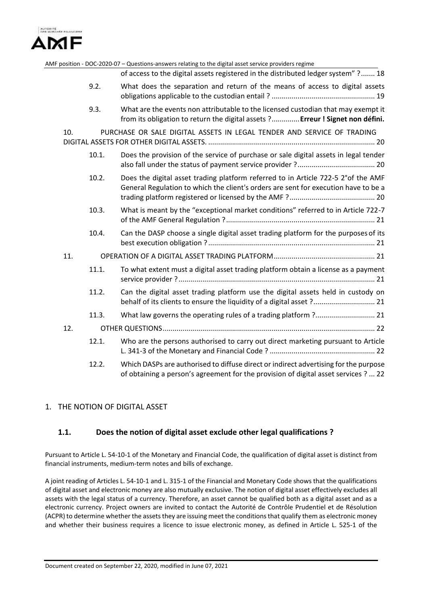

|     |       | AMF position - DOC-2020-07 - Questions-answers relating to the digital asset service providers regime                                                                       |
|-----|-------|-----------------------------------------------------------------------------------------------------------------------------------------------------------------------------|
|     |       | of access to the digital assets registered in the distributed ledger system" ? 18                                                                                           |
|     | 9.2.  | What does the separation and return of the means of access to digital assets                                                                                                |
|     | 9.3.  | What are the events non attributable to the licensed custodian that may exempt it<br>from its obligation to return the digital assets ? Erreur ! Signet non défini.         |
| 10. |       | PURCHASE OR SALE DIGITAL ASSETS IN LEGAL TENDER AND SERVICE OF TRADING                                                                                                      |
|     | 10.1. | Does the provision of the service of purchase or sale digital assets in legal tender                                                                                        |
|     | 10.2. | Does the digital asset trading platform referred to in Article 722-5 2° of the AMF<br>General Regulation to which the client's orders are sent for execution have to be a   |
|     | 10.3. | What is meant by the "exceptional market conditions" referred to in Article 722-7                                                                                           |
|     | 10.4. | Can the DASP choose a single digital asset trading platform for the purposes of its                                                                                         |
| 11. |       |                                                                                                                                                                             |
|     | 11.1. | To what extent must a digital asset trading platform obtain a license as a payment                                                                                          |
|     | 11.2. | Can the digital asset trading platform use the digital assets held in custody on<br>behalf of its clients to ensure the liquidity of a digital asset ? 21                   |
|     | 11.3. | What law governs the operating rules of a trading platform ? 21                                                                                                             |
| 12. |       |                                                                                                                                                                             |
|     | 12.1. | Who are the persons authorised to carry out direct marketing pursuant to Article                                                                                            |
|     | 12.2. | Which DASPs are authorised to diffuse direct or indirect advertising for the purpose<br>of obtaining a person's agreement for the provision of digital asset services ?  22 |

### <span id="page-2-1"></span><span id="page-2-0"></span>1. THE NOTION OF DIGITAL ASSET

### **1.1. Does the notion of digital asset exclude other legal qualifications ?**

Pursuant to Article L. 54-10-1 of the Monetary and Financial Code, the qualification of digital asset is distinct from financial instruments, medium-term notes and bills of exchange.

A joint reading of Articles L. 54-10-1 and L. 315-1 of the Financial and Monetary Code shows that the qualifications of digital asset and electronic money are also mutually exclusive. The notion of digital asset effectively excludes all assets with the legal status of a currency. Therefore, an asset cannot be qualified both as a digital asset and as a electronic currency. Project owners are invited to contact the Autorité de Contrôle Prudentiel et de Résolution (ACPR) to determine whether the assets they are issuing meet the conditions that qualify them as electronic money and whether their business requires a licence to issue electronic money, as defined in Article L. 525-1 of the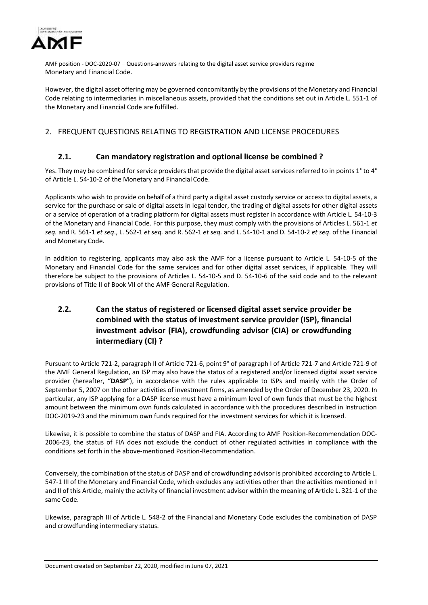

AMF position - DOC-2020-07 – Questions-answers relating to the digital asset service providers regime Monetary and Financial Code.

However, the digital asset offering may be governed concomitantly by the provisions of the Monetary and Financial Code relating to intermediaries in miscellaneous assets, provided that the conditions set out in Article L. 551-1 of the Monetary and Financial Code are fulfilled.

## <span id="page-3-1"></span><span id="page-3-0"></span>2. FREQUENT QUESTIONS RELATING TO REGISTRATION AND LICENSE PROCEDURES

### **2.1. Can mandatory registration and optional license be combined ?**

Yes. They may be combined for service providers that provide the digital asset services referred to in points 1° to 4° of Article L. 54-10-2 of the Monetary and Financial Code.

Applicants who wish to provide on behalf of a third party a digital asset custody service or access to digital assets, a service for the purchase or sale of digital assets in legal tender, the trading of digital assets for other digital assets or a service of operation of a trading platform for digital assets must register in accordance with Article L. 54-10-3 of the Monetary and Financial Code. For this purpose, they must comply with the provisions of Articles L. 561-1 *et seq.* and R. 561-1 *et seq*., L. 562-1 *et seq.* and R. 562-1 *et seq.* and L. 54-10-1 and D. 54-10-2 *et seq*. of the Financial and Monetary Code.

In addition to registering, applicants may also ask the AMF for a license pursuant to Article L. 54-10-5 of the Monetary and Financial Code for the same services and for other digital asset services, if applicable. They will therefore be subject to the provisions of Articles L. 54-10-5 and D. 54-10-6 of the said code and to the relevant provisions of Title II of Book VII of the AMF General Regulation.

# <span id="page-3-2"></span>**2.2. Can the status of registered or licensed digital asset service provider be combined with the status of investment service provider (ISP), financial investment advisor (FIA), crowdfunding advisor (CIA) or crowdfunding intermediary (CI) ?**

Pursuant to Article 721-2, paragraph II of Article 721-6, point 9° of paragraph I of Article 721-7 and Article 721-9 of the AMF General Regulation, an ISP may also have the status of a registered and/or licensed digital asset service provider (hereafter, "**DASP**"), in accordance with the rules applicable to ISPs and mainly with the Order of September 5, 2007 on the other activities of investment firms, as amended by the Order of December 23, 2020. In particular, any ISP applying for a DASP license must have a minimum level of own funds that must be the highest amount between the minimum own funds calculated in accordance with the procedures described in Instruction DOC-2019-23 and the minimum own funds required for the investment services for which it is licensed.

Likewise, it is possible to combine the status of DASP and FIA. According to AMF Position-Recommendation DOC-2006-23, the status of FIA does not exclude the conduct of other regulated activities in compliance with the conditions set forth in the above-mentioned Position-Recommendation.

Conversely, the combination of the status of DASP and of crowdfunding advisor is prohibited according to Article L. 547-1 III of the Monetary and Financial Code, which excludes any activities other than the activities mentioned in I and II of this Article, mainly the activity of financial investment advisor within the meaning of Article L. 321-1 of the same Code.

Likewise, paragraph III of Article L. 548-2 of the Financial and Monetary Code excludes the combination of DASP and crowdfunding intermediary status.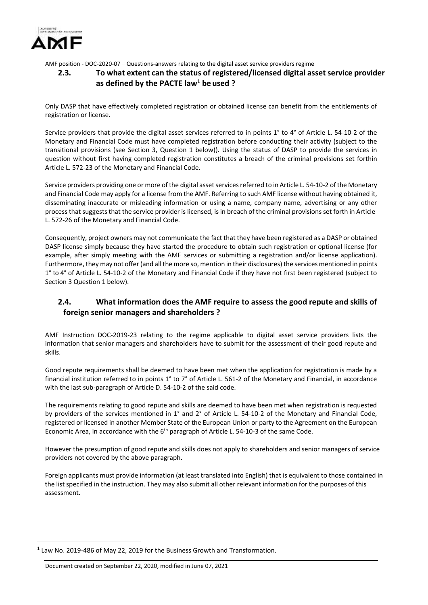

### <span id="page-4-0"></span>**2.3. To what extent can the status of registered/licensed digital asset service provider as defined by the PACTE law<sup>1</sup> be used ?**

Only DASP that have effectively completed registration or obtained license can benefit from the entitlements of registration or license.

Service providers that provide the digital asset services referred to in points 1° to 4° of Article L. 54-10-2 of the Monetary and Financial Code must have completed registration before conducting their activity (subject to the transitional provisions (see Section 3, Question 1 below)). Using the status of DASP to provide the services in question without first having completed registration constitutes a breach of the criminal provisions set forthin Article L. 572-23 of the Monetary and Financial Code.

Service providers providing one or more of the digital asset services referred to in Article L. 54-10-2 of the Monetary and Financial Code may apply for a license from the AMF. Referring to such AMF license without having obtained it, disseminating inaccurate or misleading information or using a name, company name, advertising or any other processthat suggeststhat the service provider is licensed, is in breach of the criminal provisions set forth in Article L. 572-26 of the Monetary and Financial Code.

Consequently, project owners may not communicate the fact that they have been registered as a DASP or obtained DASP license simply because they have started the procedure to obtain such registration or optional license (for example, after simply meeting with the AMF services or submitting a registration and/or license application). Furthermore, they may not offer (and all the more so, mention in their disclosures) the services mentioned in points 1° to 4° of Article L. 54-10-2 of the Monetary and Financial Code if they have not first been registered (subject to Section 3 Question 1 below).

## <span id="page-4-1"></span>**2.4. What information does the AMF require to assess the good repute and skills of foreign senior managers and shareholders ?**

AMF Instruction DOC-2019-23 relating to the regime applicable to digital asset service providers lists the information that senior managers and shareholders have to submit for the assessment of their good repute and skills.

Good repute requirements shall be deemed to have been met when the application for registration is made by a financial institution referred to in points 1° to 7° of Article L. 561-2 of the Monetary and Financial, in accordance with the last sub-paragraph of Article D. 54-10-2 of the said code.

The requirements relating to good repute and skills are deemed to have been met when registration is requested by providers of the services mentioned in 1° and 2° of Article L. 54-10-2 of the Monetary and Financial Code, registered or licensed in another Member State of the European Union or party to the Agreement on the European Economic Area, in accordance with the  $6<sup>th</sup>$  paragraph of Article L. 54-10-3 of the same Code.

However the presumption of good repute and skills does not apply to shareholders and senior managers of service providers not covered by the above paragraph.

Foreign applicants must provide information (at least translated into English) that is equivalent to those contained in the list specified in the instruction. They may also submit all other relevant information for the purposes of this assessment.

 $\overline{\phantom{a}}$ 

 $<sup>1</sup>$  Law No. 2019-486 of May 22, 2019 for the Business Growth and Transformation.</sup>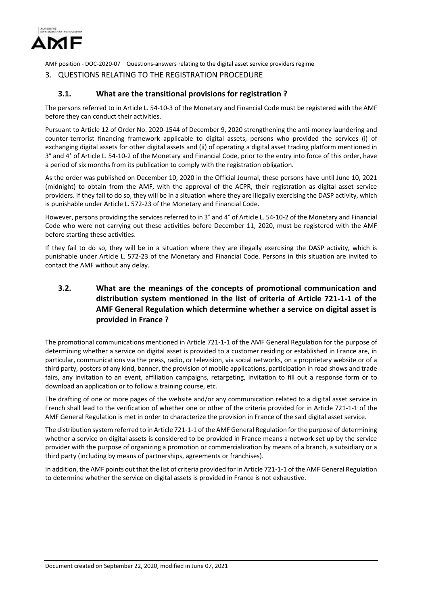

#### <span id="page-5-0"></span>3. QUESTIONS RELATING TO THE REGISTRATION PROCEDURE

#### **3.1. What are the transitional provisions for registration ?**

<span id="page-5-1"></span>The persons referred to in Article L. 54-10-3 of the Monetary and Financial Code must be registered with the AMF before they can conduct their activities.

Pursuant to Article 12 of Order No. 2020-1544 of December 9, 2020 strengthening the anti-money laundering and counter-terrorist financing framework applicable to digital assets, persons who provided the services (i) of exchanging digital assets for other digital assets and (ii) of operating a digital asset trading platform mentioned in 3° and 4° of Article L. 54-10-2 of the Monetary and Financial Code, prior to the entry into force of this order, have a period of six months from its publication to comply with the registration obligation.

As the order was published on December 10, 2020 in the Official Journal, these persons have until June 10, 2021 (midnight) to obtain from the AMF, with the approval of the ACPR, their registration as digital asset service providers. If they fail to do so, they will be in a situation where they are illegally exercising the DASP activity, which is punishable under Article L. 572-23 of the Monetary and Financial Code.

However, persons providing the services referred to in 3° and 4° of Article L. 54-10-2 of the Monetary and Financial Code who were not carrying out these activities before December 11, 2020, must be registered with the AMF before starting these activities.

If they fail to do so, they will be in a situation where they are illegally exercising the DASP activity, which is punishable under Article L. 572-23 of the Monetary and Financial Code. Persons in this situation are invited to contact the AMF without any delay.

# <span id="page-5-2"></span>**3.2. What are the meanings of the concepts of promotional communication and distribution system mentioned in the list of criteria of Article 721-1-1 of the AMF General Regulation which determine whether a service on digital asset is provided in France ?**

The promotional communications mentioned in Article 721-1-1 of the AMF General Regulation for the purpose of determining whether a service on digital asset is provided to a customer residing or established in France are, in particular, communications via the press, radio, or television, via social networks, on a proprietary website or of a third party, posters of any kind, banner, the provision of mobile applications, participation in road shows and trade fairs, any invitation to an event, affiliation campaigns, retargeting, invitation to fill out a response form or to download an application or to follow a training course, etc.

The drafting of one or more pages of the website and/or any communication related to a digital asset service in French shall lead to the verification of whether one or other of the criteria provided for in Article 721-1-1 of the AMF General Regulation is met in order to characterize the provision in France of the said digital asset service.

The distribution system referred to in Article 721-1-1 of the AMF General Regulation for the purpose of determining whether a service on digital assets is considered to be provided in France means a network set up by the service provider with the purpose of organizing a promotion or commercialization by means of a branch, a subsidiary or a third party (including by means of partnerships, agreements or franchises).

In addition, the AMF points out that the list of criteria provided for in Article 721-1-1 of the AMF General Regulation to determine whether the service on digital assets is provided in France is not exhaustive.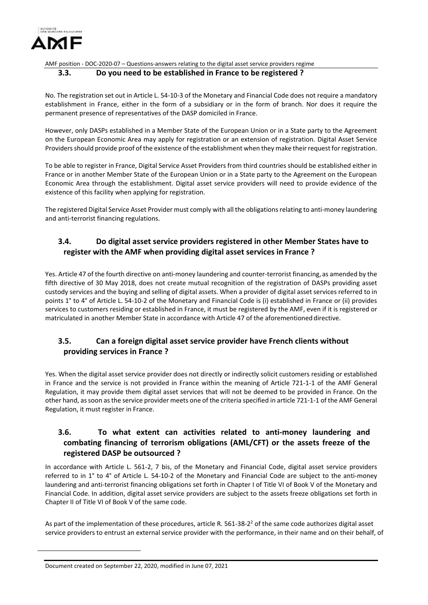

#### <span id="page-6-0"></span>**3.3. Do you need to be established in France to be registered ?**

No. The registration set out in Article L. 54-10-3 of the Monetary and Financial Code does not require a mandatory establishment in France, either in the form of a subsidiary or in the form of branch. Nor does it require the permanent presence of representatives of the DASP domiciled in France.

However, only DASPs established in a Member State of the European Union or in a State party to the Agreement on the European Economic Area may apply for registration or an extension of registration. Digital Asset Service Providersshould provide proof of the existence of the establishment when they make their request for registration.

To be able to register in France, Digital Service Asset Providers from third countries should be established either in France or in another Member State of the European Union or in a State party to the Agreement on the European Economic Area through the establishment. Digital asset service providers will need to provide evidence of the existence of this facility when applying for registration.

The registered Digital Service Asset Provider must comply with all the obligations relating to anti-money laundering and anti-terrorist financing regulations.

# <span id="page-6-1"></span>**3.4. Do digital asset service providers registered in other Member States have to register with the AMF when providing digital asset services in France ?**

Yes. Article 47 of the fourth directive on anti-money laundering and counter-terrorist financing, as amended by the fifth directive of 30 May 2018, does not create mutual recognition of the registration of DASPs providing asset custody services and the buying and selling of digital assets. When a provider of digital asset services referred to in points 1° to 4° of Article L. 54-10-2 of the Monetary and Financial Code is (i) established in France or (ii) provides services to customers residing or established in France, it must be registered by the AMF, even if it is registered or matriculated in another Member State in accordance with Article 47 of the aforementioned directive.

## <span id="page-6-2"></span>**3.5. Can a foreign digital asset service provider have French clients without providing services in France ?**

Yes. When the digital asset service provider does not directly or indirectly solicit customers residing or established in France and the service is not provided in France within the meaning of Article 721-1-1 of the AMF General Regulation, it may provide them digital asset services that will not be deemed to be provided in France. On the other hand, as soon as the service provider meets one of the criteria specified in article 721-1-1 of the AMF General Regulation, it must register in France.

## <span id="page-6-3"></span>**3.6. To what extent can activities related to anti-money laundering and combating financing of terrorism obligations (AML/CFT) or the assets freeze of the registered DASP be outsourced ?**

In accordance with Article L. 561-2, 7 bis, of the Monetary and Financial Code, digital asset service providers referred to in 1° to 4° of Article L. 54-10-2 of the Monetary and Financial Code are subject to the anti-money laundering and anti-terrorist financing obligations set forth in Chapter I of Title VI of Book V of the Monetary and Financial Code. In addition, digital asset service providers are subject to the assets freeze obligations set forth in Chapter II of Title VI of Book V of the same code.

As part of the implementation of these procedures, article R. 561-38-2<sup>2</sup> of the same code authorizes digital asset service providers to entrust an external service provider with the performance, in their name and on their behalf, of

 $\overline{a}$ 

Document created on September 22, 2020, modified in June 07, 2021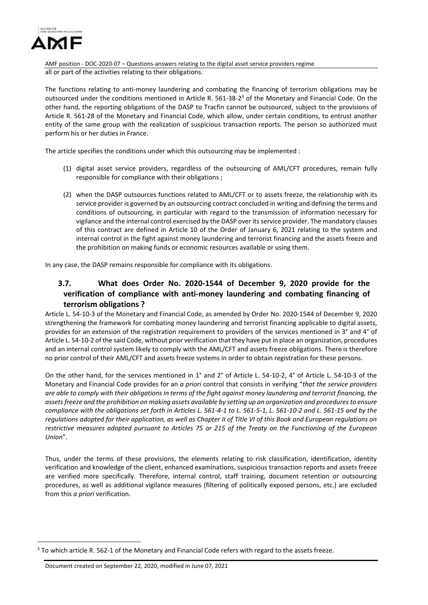

AMF position - DOC-2020-07 – Questions-answers relating to the digital asset service providers regime all or part of the activities relating to their obligations.

The functions relating to anti-money laundering and combating the financing of terrorism obligations may be outsourced under the conditions mentioned in Article R. 561-38-2<sup>3</sup> of the Monetary and Financial Code. On the other hand, the reporting obligations of the DASP to Tracfin cannot be outsourced, subject to the provisions of Article R. 561-28 of the Monetary and Financial Code, which allow, under certain conditions, to entrust another entity of the same group with the realization of suspicious transaction reports. The person so authorized must perform his or her duties in France.

The article specifies the conditions under which this outsourcing may be implemented :

- (1) digital asset service providers, regardless of the outsourcing of AML/CFT procedures, remain fully responsible for compliance with their obligations ;
- (2) when the DASP outsources functions related to AML/CFT or to assets freeze, the relationship with its service provider is governed by an outsourcing contract concluded in writing and defining the terms and conditions of outsourcing, in particular with regard to the transmission of information necessary for vigilance and the internal control exercised by the DASP over its service provider. The mandatory clauses of this contract are defined in Article 10 of the Order of January 6, 2021 relating to the system and internal control in the fight against money laundering and terrorist financing and the assets freeze and the prohibition on making funds or economic resources available or using them.

<span id="page-7-0"></span>In any case, the DASP remains responsible for compliance with its obligations.

# **3.7. What does Order No. 2020-1544 of December 9, 2020 provide for the verification of compliance with anti-money laundering and combating financing of terrorism obligations ?**

Article L. 54-10-3 of the Monetary and Financial Code, as amended by Order No. 2020-1544 of December 9, 2020 strengthening the framework for combating money laundering and terrorist financing applicable to digital assets, provides for an extension of the registration requirement to providers of the services mentioned in 3° and 4° of Article L. 54-10-2 of the said Code, without prior verification that they have put in place an organization, procedures and an internal control system likely to comply with the AML/CFT and assets freeze obligations. There is therefore no prior control of their AML/CFT and assets freeze systems in order to obtain registration for these persons.

On the other hand, for the services mentioned in 1° and 2° of Article L. 54-10-2, 4° of Article L. 54-10-3 of the Monetary and Financial Code provides for an *a priori* control that consists in verifying "*that the service providers are able to comply with their obligations in terms of the fight against money laundering and terrorist financing, the assets freeze and the prohibition on making assets available by setting up an organization and procedures to ensure compliance with the obligations set forth in Articles L. 561-4-1 to L. 561-5-1, L. 561-10-2 and L. 561-15 and by the regulations adopted for their application, as well as Chapter II of Title VI of this Book and European regulations on restrictive measures adopted pursuant to Articles 75 or 215 of the Treaty on the Functioning of the European Union*".

Thus, under the terms of these provisions, the elements relating to risk classification, identification, identity verification and knowledge of the client, enhanced examinations, suspicious transaction reports and assets freeze are verified more specifically. Therefore, internal control, staff training, document retention or outsourcing procedures, as well as additional vigilance measures (filtering of politically exposed persons, etc.) are excluded from this *a priori* verification.

 $\overline{a}$ 

 $3$  To which article R. 562-1 of the Monetary and Financial Code refers with regard to the assets freeze.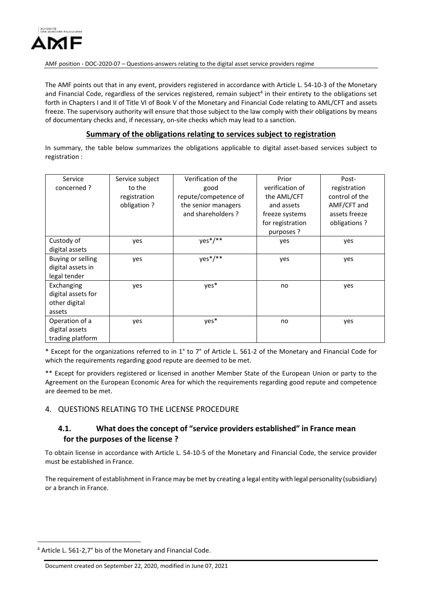

The AMF points out that in any event, providers registered in accordance with Article L. 54-10-3 of the Monetary and Financial Code, regardless of the services registered, remain subject<sup>4</sup> in their entirety to the obligations set forth in Chapters I and II of Title VI of Book V of the Monetary and Financial Code relating to AML/CFT and assets freeze. The supervisory authority will ensure that those subject to the law comply with their obligations by means of documentary checks and, if necessary, on-site checks which may lead to a sanction.

#### **Summary of the obligations relating to services subject to registration**

In summary, the table below summarizes the obligations applicable to digital asset-based services subject to registration :

| Service            | Service subject | Verification of the  | Prior            | Post-          |
|--------------------|-----------------|----------------------|------------------|----------------|
| concerned ?        | to the          | good                 | verification of  | registration   |
|                    | registration    | repute/competence of | the AML/CFT      | control of the |
|                    | obligation?     | the senior managers  | and assets       | AMF/CFT and    |
|                    |                 | and shareholders?    | freeze systems   | assets freeze  |
|                    |                 |                      | for registration | obligations?   |
|                    |                 |                      | purposes ?       |                |
| Custody of         | yes             | $yes*/**$            | yes              | yes            |
| digital assets     |                 |                      |                  |                |
| Buying or selling  | yes             | $yes*/**$            | yes              | yes            |
| digital assets in  |                 |                      |                  |                |
| legal tender       |                 |                      |                  |                |
| Exchanging         | yes             | yes*                 | no               | yes            |
| digital assets for |                 |                      |                  |                |
| other digital      |                 |                      |                  |                |
| assets             |                 |                      |                  |                |
| Operation of a     | yes             | yes*                 | no               | yes            |
| digital assets     |                 |                      |                  |                |
| trading platform   |                 |                      |                  |                |

\* Except for the organizations referred to in 1° to 7° of Article L. 561-2 of the Monetary and Financial Code for which the requirements regarding good repute are deemed to be met.

\*\* Except for providers registered or licensed in another Member State of the European Union or party to the Agreement on the European Economic Area for which the requirements regarding good repute and competence are deemed to be met.

### <span id="page-8-1"></span><span id="page-8-0"></span>4. QUESTIONS RELATING TO THE LICENSE PROCEDURE

### **4.1. What does the concept of "service providers established" in France mean for the purposes of the license ?**

To obtain license in accordance with Article L. 54-10-5 of the Monetary and Financial Code, the service provider must be established in France.

The requirement of establishment in France may be met by creating a legal entity with legal personality (subsidiary) or a branch in France.

 $\overline{a}$ 

<sup>4</sup> Article L. 561-2,7° bis of the Monetary and Financial Code.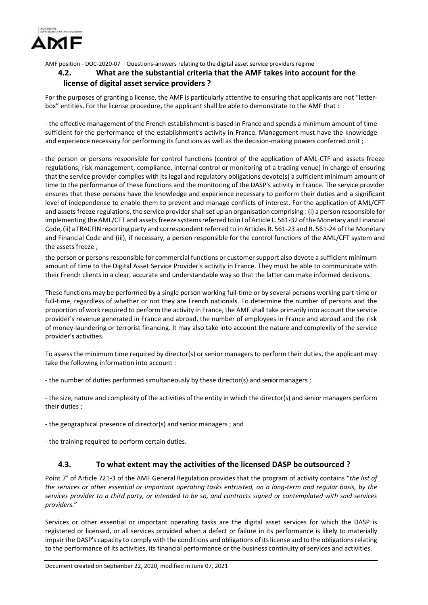

### <span id="page-9-0"></span>**4.2. What are the substantial criteria that the AMF takes into account for the license of digital asset service providers ?**

For the purposes of granting a license, the AMF is particularly attentive to ensuring that applicants are not "letterbox" entities. For the license procedure, the applicant shall be able to demonstrate to the AMF that :

- the effective management of the French establishment is based in France and spends a minimum amount of time sufficient for the performance of the establishment's activity in France. Management must have the knowledge and experience necessary for performing its functions as well as the decision-making powers conferred onit ;

- the person or persons responsible for control functions (control of the application of AML-CTF and assets freeze regulations, risk management, compliance, internal control or monitoring of a trading venue) in charge of ensuring that the service provider complies with its legal and regulatory obligations devote(s) a sufficient minimum amount of time to the performance of these functions and the monitoring of the DASP's activity in France. The service provider ensures that these persons have the knowledge and experience necessary to perform their duties and a significant level of independence to enable them to prevent and manage conflicts of interest. For the application of AML/CFT and assets freeze regulations, the service provider shall set up an organisation comprising : (i) a person responsible for implementing the AML/CFT and assets freeze systems referred to in I of Article L. 561-32 of the Monetary and Financial Code, (ii) a TRACFIN reporting party and correspondent referred to in Articles R. 561-23 and R. 561-24 of the Monetary and Financial Code and (iii), if necessary, a person responsible for the control functions of the AML/CFT system and the assets freeze ;
- the person or persons responsible for commercial functions or customer support also devote a sufficient minimum amount of time to the Digital Asset Service Provider's activity in France. They must be able to communicate with their French clients in a clear, accurate and understandable way so that the latter can make informed decisions.

These functions may be performed by a single person working full-time or by several persons working part-time or full-time, regardless of whether or not they are French nationals. To determine the number of persons and the proportion of work required to perform the activity in France, the AMF shall take primarily into account the service provider's revenue generated in France and abroad, the number of employees in France and abroad and the risk of money-laundering or terrorist financing. It may also take into account the nature and complexity of the service provider's activities.

To assess the minimum time required by director(s) or senior managers to perform their duties, the applicant may take the following information into account :

- the number of duties performed simultaneously by these director(s) and senior managers ;

- the size, nature and complexity of the activities of the entity in which the director(s) and senior managers perform their duties ;

- the geographical presence of director(s) and senior managers ; and

- the training required to perform certain duties.

### **4.3. To what extent may the activities of the licensed DASP be outsourced ?**

<span id="page-9-1"></span>Point 7° of Article 721-3 of the AMF General Regulation provides that the program of activity contains "*the list of the services or other essential or important operating tasks entrusted, on a long-term and regular basis, by the services provider to a third party, or intended to be so, and contracts signed or contemplated with said services providers.*"

Services or other essential or important operating tasks are the digital asset services for which the DASP is registered or licensed, or all services provided when a defect or failure in its performance is likely to materially impair the DASP's capacity to comply with the conditions and obligations of its license and to the obligations relating to the performance of its activities, its financial performance or the business continuity of services and activities.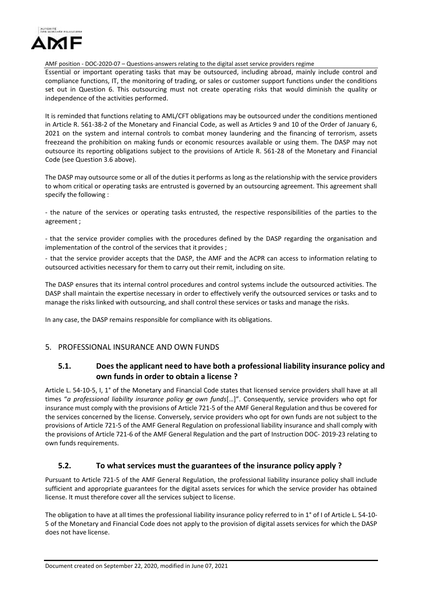

Essential or important operating tasks that may be outsourced, including abroad, mainly include control and compliance functions, IT, the monitoring of trading, or sales or customer support functions under the conditions set out in Question 6. This outsourcing must not create operating risks that would diminish the quality or independence of the activities performed.

It is reminded that functions relating to AML/CFT obligations may be outsourced under the conditions mentioned in Article R. 561-38-2 of the Monetary and Financial Code, as well as Articles 9 and 10 of the Order of January 6, 2021 on the system and internal controls to combat money laundering and the financing of terrorism, assets freezeand the prohibition on making funds or economic resources available or using them. The DASP may not outsource its reporting obligations subject to the provisions of Article R. 561-28 of the Monetary and Financial Code (see Question 3.6 above).

The DASP may outsource some or all of the duties it performs as long as the relationship with the service providers to whom critical or operating tasks are entrusted is governed by an outsourcing agreement. This agreement shall specify the following :

- the nature of the services or operating tasks entrusted, the respective responsibilities of the parties to the agreement ;

- that the service provider complies with the procedures defined by the DASP regarding the organisation and implementation of the control of the services that it provides ;

- that the service provider accepts that the DASP, the AMF and the ACPR can access to information relating to outsourced activities necessary for them to carry out their remit, including on site.

The DASP ensures that its internal control procedures and control systems include the outsourced activities. The DASP shall maintain the expertise necessary in order to effectively verify the outsourced services or tasks and to manage the risks linked with outsourcing, and shall control these services or tasks and manage the risks.

In any case, the DASP remains responsible for compliance with its obligations.

#### <span id="page-10-1"></span><span id="page-10-0"></span>5. PROFESSIONAL INSURANCE AND OWN FUNDS

### **5.1. Does the applicant need to have both a professional liability insurance policy and own funds in order to obtain a license ?**

Article L. 54-10-5, I, 1° of the Monetary and Financial Code states that licensed service providers shall have at all times "*a professional liability insurance policy or own funds*[…]". Consequently, service providers who opt for insurance must comply with the provisions of Article 721-5 of the AMF General Regulation and thus be covered for the services concerned by the license. Conversely, service providers who opt for own funds are not subject to the provisions of Article 721-5 of the AMF General Regulation on professional liability insurance and shall comply with the provisions of Article 721-6 of the AMF General Regulation and the part of Instruction DOC- 2019-23 relating to own funds requirements.

### **5.2. To what services must the guarantees of the insurance policy apply ?**

<span id="page-10-2"></span>Pursuant to Article 721-5 of the AMF General Regulation, the professional liability insurance policy shall include sufficient and appropriate guarantees for the digital assets services for which the service provider has obtained license. It must therefore cover all the services subject to license.

The obligation to have at all times the professional liability insurance policy referred to in 1° of I of Article L. 54-10- 5 of the Monetary and Financial Code does not apply to the provision of digital assets services for which the DASP does not have license.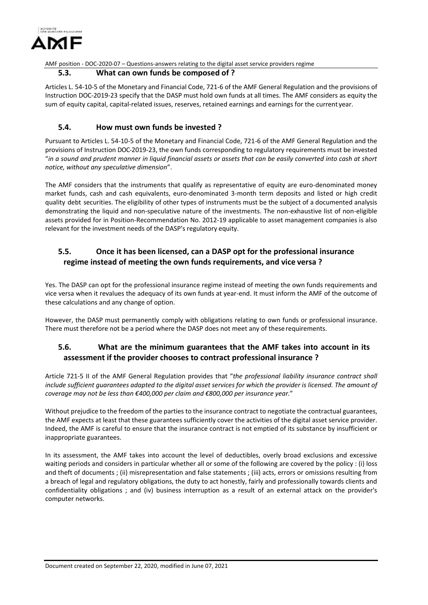

#### **5.3. What can own funds be composed of ?**

<span id="page-11-0"></span>Articles L. 54-10-5 of the Monetary and Financial Code, 721-6 of the AMF General Regulation and the provisions of Instruction DOC-2019-23 specify that the DASP must hold own funds at all times. The AMF considers as equity the sum of equity capital, capital-related issues, reserves, retained earnings and earnings for the current year.

### **5.4. How must own funds be invested ?**

<span id="page-11-1"></span>Pursuant to Articles L. 54-10-5 of the Monetary and Financial Code, 721-6 of the AMF General Regulation and the provisions of Instruction DOC-2019-23, the own funds corresponding to regulatory requirements must be invested "*in a sound and prudent manner in liquid financial assets or assets that can be easily converted into cash at short notice, without any speculative dimension*".

The AMF considers that the instruments that qualify as representative of equity are euro-denominated money market funds, cash and cash equivalents, euro-denominated 3-month term deposits and listed or high credit quality debt securities. The eligibility of other types of instruments must be the subject of a documented analysis demonstrating the liquid and non-speculative nature of the investments. The non-exhaustive list of non-eligible assets provided for in Position-Recommendation No. 2012-19 applicable to asset management companies is also relevant for the investment needs of the DASP's regulatory equity.

# <span id="page-11-2"></span>**5.5. Once it has been licensed, can a DASP opt for the professional insurance regime instead of meeting the own funds requirements, and vice versa ?**

Yes. The DASP can opt for the professional insurance regime instead of meeting the own funds requirements and vice versa when it revalues the adequacy of its own funds at year-end. It must inform the AMF of the outcome of these calculations and any change of option.

However, the DASP must permanently comply with obligations relating to own funds or professional insurance. There must therefore not be a period where the DASP does not meet any of these requirements.

## <span id="page-11-3"></span>**5.6. What are the minimum guarantees that the AMF takes into account in its assessment if the provider chooses to contract professional insurance ?**

Article 721-5 II of the AMF General Regulation provides that "*the professional liability insurance contract shall include sufficient guarantees adapted to the digital asset services for which the provider is licensed. The amount of coverage may not be less than €400,000 per claim and €800,000 per insurance year.*"

Without prejudice to the freedom of the parties to the insurance contract to negotiate the contractual guarantees, the AMF expects at least that these guarantees sufficiently cover the activities of the digital asset service provider. Indeed, the AMF is careful to ensure that the insurance contract is not emptied of its substance by insufficient or inappropriate guarantees.

In its assessment, the AMF takes into account the level of deductibles, overly broad exclusions and excessive waiting periods and considers in particular whether all or some of the following are covered by the policy : (i) loss and theft of documents ; (ii) misrepresentation and false statements ; (iii) acts, errors or omissions resulting from a breach of legal and regulatory obligations, the duty to act honestly, fairly and professionally towards clients and confidentiality obligations ; and (iv) business interruption as a result of an external attack on the provider's computer networks.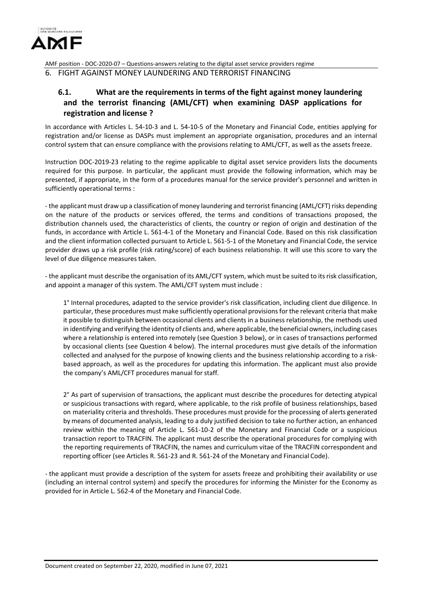

<span id="page-12-1"></span><span id="page-12-0"></span>6. FIGHT AGAINST MONEY LAUNDERING AND TERRORIST FINANCING

# **6.1. What are the requirements in terms of the fight against money laundering and the terrorist financing (AML/CFT) when examining DASP applications for registration and license ?**

In accordance with Articles L. 54-10-3 and L. 54-10-5 of the Monetary and Financial Code, entities applying for registration and/or license as DASPs must implement an appropriate organisation, procedures and an internal control system that can ensure compliance with the provisions relating to AML/CFT, as well as the assets freeze.

Instruction DOC-2019-23 relating to the regime applicable to digital asset service providers lists the documents required for this purpose. In particular, the applicant must provide the following information, which may be presented, if appropriate, in the form of a procedures manual for the service provider's personnel and written in sufficiently operational terms :

- the applicant must draw up a classification of money laundering and terrorist financing (AML/CFT) risks depending on the nature of the products or services offered, the terms and conditions of transactions proposed, the distribution channels used, the characteristics of clients, the country or region of origin and destination of the funds, in accordance with Article L. 561-4-1 of the Monetary and Financial Code. Based on this risk classification and the client information collected pursuant to Article L. 561-5-1 of the Monetary and Financial Code, the service provider draws up a risk profile (risk rating/score) of each business relationship. It will use this score to vary the level of due diligence measures taken.

- the applicant must describe the organisation of its AML/CFT system, which must be suited to itsrisk classification, and appoint a manager of this system. The AML/CFT system must include :

1° Internal procedures, adapted to the service provider's risk classification, including client due diligence. In particular, these procedures must make sufficiently operational provisions for the relevant criteria that make it possible to distinguish between occasional clients and clients in a business relationship, the methods used in identifying and verifying the identity of clients and, where applicable, the beneficial owners, including cases where a relationship is entered into remotely (see Question 3 below), or in cases of transactions performed by occasional clients (see Question 4 below). The internal procedures must give details of the information collected and analysed for the purpose of knowing clients and the business relationship according to a riskbased approach, as well as the procedures for updating this information. The applicant must also provide the company's AML/CFT procedures manual for staff.

2° As part of supervision of transactions, the applicant must describe the procedures for detecting atypical or suspicious transactions with regard, where applicable, to the risk profile of business relationships, based on materiality criteria and thresholds. These procedures must provide for the processing of alerts generated by means of documented analysis, leading to a duly justified decision to take no further action, an enhanced review within the meaning of Article L. 561-10-2 of the Monetary and Financial Code or a suspicious transaction report to TRACFIN. The applicant must describe the operational procedures for complying with the reporting requirements of TRACFIN, the names and curriculum vitae of the TRACFIN correspondent and reporting officer (see Articles R. 561-23 and R. 561-24 of the Monetary and Financial Code).

- the applicant must provide a description of the system for assets freeze and prohibiting their availability or use (including an internal control system) and specify the procedures for informing the Minister for the Economy as provided for in Article L. 562-4 of the Monetary and Financial Code.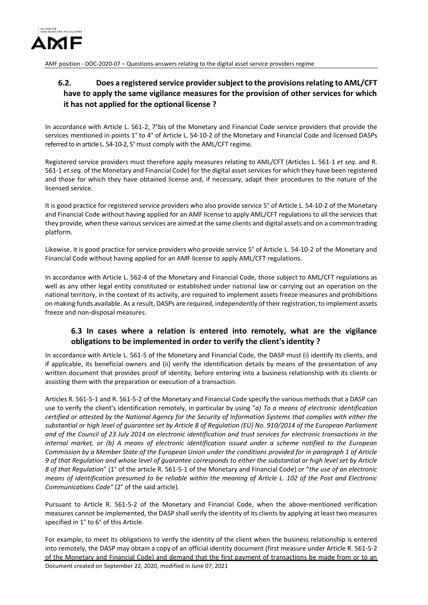

# <span id="page-13-0"></span>**6.2. Does a registered service providersubject to the provisionsrelating to AML/CFT have to apply the same vigilance measures for the provision of other services for which it has not applied for the optional license ?**

In accordance with Article L. 561-2, 7°bis of the Monetary and Financial Code service providers that provide the services mentioned in points 1° to 4° of Article L. 54-10-2 of the Monetary and Financial Code and licensed DASPs referred to in article L. 54-10-2, 5° must comply with the AML/CFT regime.

Registered service providers must therefore apply measures relating to AML/CFT (Articles L. 561-1 *et seq*. and R. 561-1 *et seq.* of the Monetary and Financial Code) for the digital asset services for which they have been registered and those for which they have obtained license and, if necessary, adapt their procedures to the nature of the licensed service.

It is good practice for registered service providers who also provide service 5° of Article L. 54-10-2 of the Monetary and Financial Code without having applied for an AMF license to apply AML/CFT regulations to all the services that they provide, when these various services are aimed at the same clients and digital assets and on a common trading platform.

Likewise, it is good practice for service providers who provide service 5° of Article L. 54-10-2 of the Monetary and Financial Code without having applied for an AMF license to apply AML/CFT regulations.

In accordance with Article L. 562-4 of the Monetary and Financial Code, those subject to AML/CFT regulations as well as any other legal entity constituted or established under national law or carrying out an operation on the national territory, in the context of its activity, are required to implement assets freeze measures and prohibitions on making funds available. As a result, DASPs are required, independently of their registration, to implement assets freeze and non-disposal measures.

## **6.3 In cases where a relation is entered into remotely, what are the vigilance obligations to be implemented in order to verify the client'sidentity ?**

<span id="page-13-1"></span>In accordance with Article L. 561-5 of the Monetary and Financial Code, the DASP must (i) identify its clients, and if applicable, its beneficial owners and (ii) verify the identification details by means of the presentation of any written document that provides proof of identity, before entering into a business relationship with its clients or assisting them with the preparation or execution of a transaction.

Articles R. 561-5-1 and R. 561-5-2 of the Monetary and Financial Code specify the various methods that a DASP can use to verify the client's identification remotely, in particular by using "*a) To a means of electronic identification certified or attested by the National Agency for the Security of Information Systems that complies with either the substantial or high level of guarantee set by Article 8 of Regulation (EU) No. 910/2014 of the European Parliament and of the Council of 23 July 2014 on electronic identification and trust services for electronic transactions in the internal market, or (b) A means of electronic identification issued under a scheme notified to the European Commission by a Member State of the European Union under the conditions provided for in paragraph 1 of Article 9 of that Regulation and whose level of guarantee corresponds to either the substantial or high level set by Article 8 of that Regulation*" (1° of the article R. 561-5-1 of the Monetary and Financial Code) or "*the use of an electronic means of identification presumed to be reliable within the meaning of Article L. 102 of the Post and Electronic Communications Code"* (2° of the said article).

Pursuant to Article R. 561-5-2 of the Monetary and Financial Code, when the above-mentioned verification measures cannot be implemented, the DASP shall verify the identity of its clients by applying at least two measures specified in 1° to 6° of this Article.

Document created on September 22, 2020, modified in June 07, 2021 For example, to meet its obligations to verify the identity of the client when the business relationship is entered into remotely, the DASP may obtain a copy of an official identity document (first measure under Article R. 561-5-2 of the Monetary and Financial Code) and demand that the first payment of transactions be made from or to an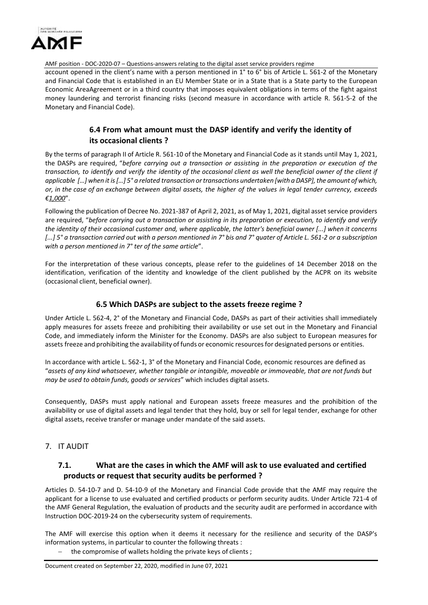

account opened in the client's name with a person mentioned in 1° to 6° bis of Article L. 561-2 of the Monetary and Financial Code that is established in an EU Member State or in a State that is a State party to the European Economic AreaAgreement or in a third country that imposes equivalent obligations in terms of the fight against money laundering and terrorist financing risks (second measure in accordance with article R. 561-5-2 of the Monetary and Financial Code).

# **6.4 From what amount must the DASP identify and verify the identity of its occasional clients ?**

<span id="page-14-0"></span>By the terms of paragraph II of Article R. 561-10 of the Monetary and Financial Code as it stands until May 1, 2021, the DASPs are required, "*before carrying out a transaction or assisting in the preparation or execution of the transaction, to identify and verify the identity of the occasional client as well the beneficial owner of the client if* applicable  $\lceil ... \rceil$  when it is  $\lceil ... \rceil$  5° a related transaction or transactions undertaken [with a DASP], the amount of which, *or, in the case of an exchange between digital assets, the higher of the values in legal tender currency, exceeds €1,000*".

Following the publication of Decree No. 2021-387 of April 2, 2021, as of May 1, 2021, digital asset service providers are required, "*before carrying out a transaction or assisting in its preparation or execution, to identify and verify the identity of their occasional customer and, where applicable, the latter's beneficial owner [...] when it concerns [...] 5° a transaction carried out with a person mentioned in 7° bis and 7° quater of Article L. 561-2 or a subscription with a person mentioned in 7° ter of the same article*".

For the interpretation of these various concepts, please refer to the guidelines of 14 December 2018 on the identification, verification of the identity and knowledge of the client published by the ACPR on its website (occasional client, beneficial owner).

### **6.5 Which DASPs are subject to the assets freeze regime ?**

<span id="page-14-1"></span>Under Article L. 562-4, 2° of the Monetary and Financial Code, DASPs as part of their activities shall immediately apply measures for assets freeze and prohibiting their availability or use set out in the Monetary and Financial Code, and immediately inform the Minister for the Economy. DASPs are also subject to European measures for assets freeze and prohibiting the availability of funds or economic resourcesfor designated persons or entities.

In accordance with article L. 562-1, 3° of the Monetary and Financial Code, economic resources are defined as "*assets of any kind whatsoever, whether tangible or intangible, moveable or immoveable, that are not funds but may be used to obtain funds, goods or services*" which includes digital assets.

Consequently, DASPs must apply national and European assets freeze measures and the prohibition of the availability or use of digital assets and legal tender that they hold, buy or sell for legal tender, exchange for other digital assets, receive transfer or manage under mandate of the said assets.

### <span id="page-14-3"></span><span id="page-14-2"></span>7. IT AUDIT

## **7.1. What are the cases in which the AMF will ask to use evaluated and certified products or request that security audits be performed ?**

Articles D. 54-10-7 and D. 54-10-9 of the Monetary and Financial Code provide that the AMF may require the applicant for a license to use evaluated and certified products or perform security audits. Under Article 721-4 of the AMF General Regulation, the evaluation of products and the security audit are performed in accordance with Instruction DOC-2019-24 on the cybersecurity system of requirements.

The AMF will exercise this option when it deems it necessary for the resilience and security of the DASP's information systems, in particular to counter the following threats :

the compromise of wallets holding the private keys of clients ;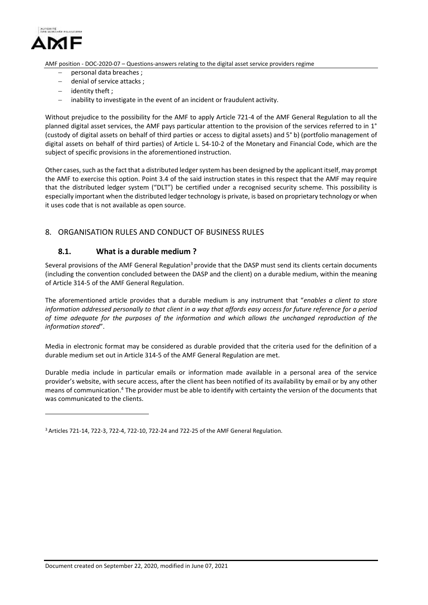

- personal data breaches ;
- denial of service attacks;
- identity theft;
- $\blacksquare$  inability to investigate in the event of an incident or fraudulent activity.

Without prejudice to the possibility for the AMF to apply Article 721-4 of the AMF General Regulation to all the planned digital asset services, the AMF pays particular attention to the provision of the services referred to in 1° (custody of digital assets on behalf of third parties or access to digital assets) and 5° b) (portfolio management of digital assets on behalf of third parties) of Article L. 54-10-2 of the Monetary and Financial Code, which are the subject of specific provisions in the aforementioned instruction.

Other cases, such as the fact that a distributed ledger system has been designed by the applicant itself, may prompt the AMF to exercise this option. Point 3.4 of the said instruction states in this respect that the AMF may require that the distributed ledger system ("DLT") be certified under a recognised security scheme. This possibility is especially important when the distributed ledger technology is private, is based on proprietary technology or when it uses code that is not available as open source.

### <span id="page-15-0"></span>8. ORGANISATION RULES AND CONDUCT OF BUSINESS RULES

#### **8.1. What is a durable medium ?**

<span id="page-15-1"></span>Several provisions of the AMF General Regulation<sup>3</sup> provide that the DASP must send its clients certain documents (including the convention concluded between the DASP and the client) on a durable medium, within the meaning of Article 314-5 of the AMF General Regulation.

The aforementioned article provides that a durable medium is any instrument that "*enables a client to store information addressed personally to that client in a way that affords easy access for future reference for a period of time adequate for the purposes of the information and which allows the unchanged reproduction of the information stored*".

Media in electronic format may be considered as durable provided that the criteria used for the definition of a durable medium set out in Article 314-5 of the AMF General Regulation are met.

Durable media include in particular emails or information made available in a personal area of the service provider's website, with secure access, after the client has been notified of its availability by email or by any other means of communication.<sup>4</sup> The provider must be able to identify with certainty the version of the documents that was communicated to the clients.

<sup>3</sup> Articles 721-14, 722-3, 722-4, 722-10, 722-24 and 722-25 of the AMF General Regulation.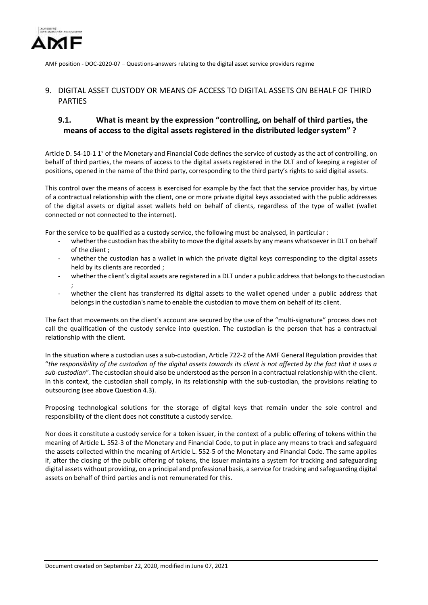

## <span id="page-16-0"></span>9. DIGITAL ASSET CUSTODY OR MEANS OF ACCESS TO DIGITAL ASSETS ON BEHALF OF THIRD PARTIES

# <span id="page-16-1"></span>**9.1. What is meant by the expression "controlling, on behalf of third parties, the means of access to the digital assets registered in the distributed ledgersystem" ?**

Article D. 54-10-1 1° of the Monetary and Financial Code defines the service of custody as the act of controlling, on behalf of third parties, the means of access to the digital assets registered in the DLT and of keeping a register of positions, opened in the name of the third party, corresponding to the third party's rights to said digital assets.

This control over the means of access is exercised for example by the fact that the service provider has, by virtue of a contractual relationship with the client, one or more private digital keys associated with the public addresses of the digital assets or digital asset wallets held on behalf of clients, regardless of the type of wallet (wallet connected or not connected to the internet).

For the service to be qualified as a custody service, the following must be analysed, in particular :

- whether the custodian has the ability to move the digital assets by any means whatsoever in DLT on behalf of the client ;
- whether the custodian has a wallet in which the private digital keys corresponding to the digital assets held by its clients are recorded ;
- whether the client's digital assets are registered in a DLT under a public address that belongs to the custodian ;
- whether the client has transferred its digital assets to the wallet opened under a public address that belongs in the custodian's name to enable the custodian to move them on behalf of its client.

The fact that movements on the client's account are secured by the use of the "multi-signature" process does not call the qualification of the custody service into question. The custodian is the person that has a contractual relationship with the client.

In the situation where a custodian uses a sub-custodian, Article 722-2 of the AMF General Regulation provides that "*the responsibility of the custodian of the digital assets towards its client is not affected by the fact that it uses a sub-custodian*". The custodian should also be understood as the person in a contractual relationship with the client. In this context, the custodian shall comply, in its relationship with the sub-custodian, the provisions relating to outsourcing (see above Question 4.3).

Proposing technological solutions for the storage of digital keys that remain under the sole control and responsibility of the client does not constitute a custody service.

Nor does it constitute a custody service for a token issuer, in the context of a public offering of tokens within the meaning of Article L. 552-3 of the Monetary and Financial Code, to put in place any means to track and safeguard the assets collected within the meaning of Article L. 552-5 of the Monetary and Financial Code. The same applies if, after the closing of the public offering of tokens, the issuer maintains a system for tracking and safeguarding digital assets without providing, on a principal and professional basis, a service for tracking and safeguarding digital assets on behalf of third parties and is not remunerated for this.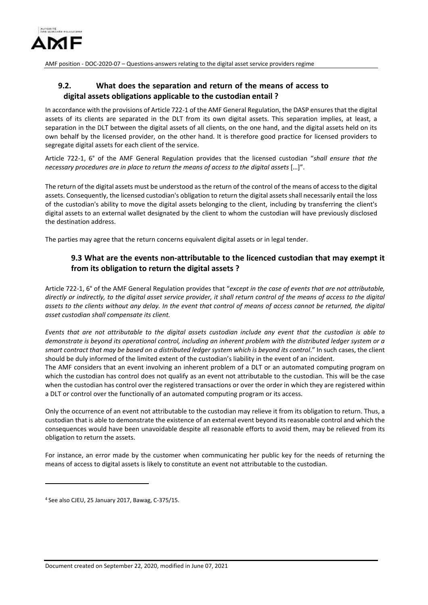

# <span id="page-17-0"></span>**9.2. What does the separation and return of the means of access to digital assets obligations applicable to the custodian entail ?**

In accordance with the provisions of Article 722-1 of the AMF General Regulation, the DASP ensures that the digital assets of its clients are separated in the DLT from its own digital assets. This separation implies, at least, a separation in the DLT between the digital assets of all clients, on the one hand, and the digital assets held on its own behalf by the licensed provider, on the other hand. It is therefore good practice for licensed providers to segregate digital assets for each client of the service.

Article 722-1, 6° of the AMF General Regulation provides that the licensed custodian "*shall ensure that the necessary procedures are in place to return the means of access to the digital assets* […]".

The return of the digital assets must be understood asthe return of the control of the means of accessto the digital assets. Consequently, the licensed custodian's obligation to return the digital assets shall necessarily entail the loss of the custodian's ability to move the digital assets belonging to the client, including by transferring the client's digital assets to an external wallet designated by the client to whom the custodian will have previously disclosed the destination address.

The parties may agree that the return concerns equivalent digital assets or in legal tender.

## **9.3 What are the events non-attributable to the licenced custodian that may exempt it from its obligation to return the digital assets ?**

Article 722-1, 6° of the AMF General Regulation provides that "*except in the case of events that are not attributable, directly or indirectly, to the digital asset service provider, it shall return control of the means of access to the digital assets to the clients without any delay. In the event that control of means of access cannot be returned, the digital asset custodian shall compensate its client.*

*Events that are not attributable to the digital assets custodian include any event that the custodian is able to demonstrate is beyond its operational control, including an inherent problem with the distributed ledger system or a smart contract that may be based on a distributed ledger system which is beyond its control*." In such cases, the client should be duly informed of the limited extent of the custodian's liability in the event of an incident.

The AMF considers that an event involving an inherent problem of a DLT or an automated computing program on which the custodian has control does not qualify as an event not attributable to the custodian. This will be the case when the custodian has control over the registered transactions or over the order in which they are registered within a DLT or control over the functionally of an automated computing program or its access.

Only the occurrence of an event not attributable to the custodian may relieve it from its obligation to return. Thus, a custodian that is able to demonstrate the existence of an external event beyond its reasonable control and which the consequences would have been unavoidable despite all reasonable efforts to avoid them, may be relieved from its obligation to return the assets.

For instance, an error made by the customer when communicating her public key for the needs of returning the means of access to digital assets is likely to constitute an event not attributable to the custodian.

<sup>4</sup> See also CJEU, 25 January 2017, Bawag, C-375/15.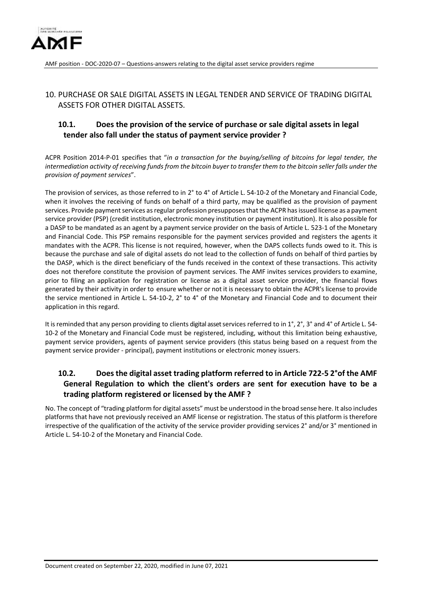

## <span id="page-18-0"></span>10. PURCHASE OR SALE DIGITAL ASSETS IN LEGAL TENDER AND SERVICE OF TRADING DIGITAL ASSETS FOR OTHER DIGITAL ASSETS.

# <span id="page-18-1"></span>**10.1. Does the provision of the service of purchase or sale digital assets in legal tender also fall under the status of payment service provider ?**

ACPR Position 2014-P-01 specifies that "*in a transaction for the buying/selling of bitcoins for legal tender, the intermediation activity of receiving funds from the bitcoin buyer to transfer them to the bitcoin seller falls under the provision of payment services*".

The provision of services, as those referred to in 2° to 4° of Article L. 54-10-2 of the Monetary and Financial Code, when it involves the receiving of funds on behalf of a third party, may be qualified as the provision of payment services. Provide payment services as regular profession presupposes that the ACPR has issued license as a payment service provider (PSP) (credit institution, electronic money institution or payment institution). It is also possible for a DASP to be mandated as an agent by a payment service provider on the basis of Article L. 523-1 of the Monetary and Financial Code. This PSP remains responsible for the payment services provided and registers the agents it mandates with the ACPR. This license is not required, however, when the DAPS collects funds owed to it. This is because the purchase and sale of digital assets do not lead to the collection of funds on behalf of third parties by the DASP, which is the direct beneficiary of the funds received in the context of these transactions. This activity does not therefore constitute the provision of payment services. The AMF invites services providers to examine, prior to filing an application for registration or license as a digital asset service provider, the financial flows generated by their activity in order to ensure whether or not it is necessary to obtain the ACPR's license to provide the service mentioned in Article L. 54-10-2, 2° to 4° of the Monetary and Financial Code and to document their application in this regard.

It is reminded that any person providing to clients digital asset services referred to in 1°, 2°, 3° and 4° of Article L. 54-10-2 of the Monetary and Financial Code must be registered, including, without this limitation being exhaustive, payment service providers, agents of payment service providers (this status being based on a request from the payment service provider - principal), payment institutions or electronic money issuers.

## <span id="page-18-2"></span>**10.2. Doesthe digital asset trading platform referred to in Article 722-5 2°of the AMF General Regulation to which the client's orders are sent for execution have to be a trading platform registered or licensed by the AMF ?**

No. The concept of "trading platform for digital assets" must be understood in the broad sense here. It also includes platforms that have not previously received an AMF license or registration. The status of this platform is therefore irrespective of the qualification of the activity of the service provider providing services 2° and/or 3° mentioned in Article L. 54-10-2 of the Monetary and Financial Code.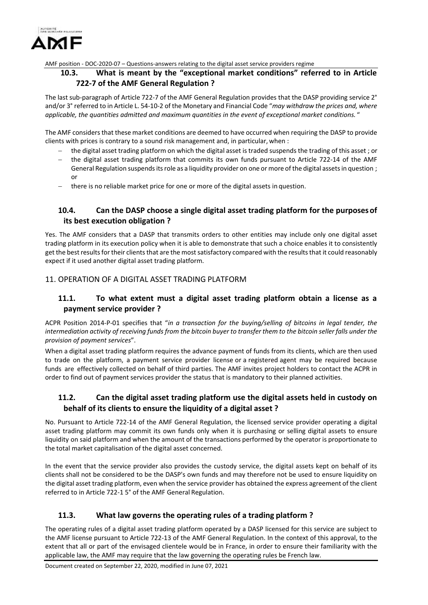

## <span id="page-19-0"></span>**10.3. What is meant by the "exceptional market conditions" referred to in Article 722-7 of the AMF General Regulation ?**

The last sub-paragraph of Article 722-7 of the AMF General Regulation provides that the DASP providing service 2° and/or 3° referred to in Article L. 54-10-2 of the Monetary and Financial Code "*may withdraw the prices and, where applicable, the quantities admitted and maximum quantities in the event of exceptional market conditions.* "

The AMF considers that these market conditions are deemed to have occurred when requiring the DASP to provide clients with prices is contrary to a sound risk management and, in particular, when :

- the digital asset trading platform on which the digital asset is traded suspends the trading of this asset ; or
- the digital asset trading platform that commits its own funds pursuant to Article 722-14 of the AMF General Regulation suspends its role as a liquidity provider on one or more of the digital assets in question; or
- there is no reliable market price for one or more of the digital assets in question.

# <span id="page-19-1"></span>**10.4. Can the DASP choose a single digital asset trading platform for the purposesof its best execution obligation ?**

Yes. The AMF considers that a DASP that transmits orders to other entities may include only one digital asset trading platform in its execution policy when it is able to demonstrate that such a choice enables it to consistently get the best results for their clients that are the most satisfactory compared with the results that it could reasonably expect if it used another digital asset trading platform.

## <span id="page-19-3"></span><span id="page-19-2"></span>11. OPERATION OF A DIGITAL ASSET TRADING PLATFORM

## **11.1. To what extent must a digital asset trading platform obtain a license as a payment service provider ?**

ACPR Position 2014-P-01 specifies that "*in a transaction for the buying/selling of bitcoins in legal tender, the intermediation activity of receiving funds from the bitcoin buyer to transfer them to the bitcoin seller falls under the provision of payment services*".

When a digital asset trading platform requires the advance payment of funds from its clients, which are then used to trade on the platform, a payment service provider license or a registered agent may be required because funds are effectively collected on behalf of third parties. The AMF invites project holders to contact the ACPR in order to find out of payment services provider the status that is mandatory to their planned activities.

## <span id="page-19-4"></span>**11.2. Can the digital asset trading platform use the digital assets held in custody on behalf of its clients to ensure the liquidity of a digital asset ?**

No. Pursuant to Article 722-14 of the AMF General Regulation, the licensed service provider operating a digital asset trading platform may commit its own funds only when it is purchasing or selling digital assets to ensure liquidity on said platform and when the amount of the transactions performed by the operator is proportionate to the total market capitalisation of the digital asset concerned.

In the event that the service provider also provides the custody service, the digital assets kept on behalf of its clients shall not be considered to be the DASP's own funds and may therefore not be used to ensure liquidity on the digital asset trading platform, even when the service provider has obtained the express agreement of the client referred to in Article 722-1 5° of the AMF General Regulation.

## **11.3. What law governs the operating rules of a trading platform ?**

<span id="page-19-5"></span>The operating rules of a digital asset trading platform operated by a DASP licensed for this service are subject to the AMF license pursuant to Article 722-13 of the AMF General Regulation. In the context of this approval, to the extent that all or part of the envisaged clientele would be in France, in order to ensure their familiarity with the applicable law, the AMF may require that the law governing the operating rules be French law.